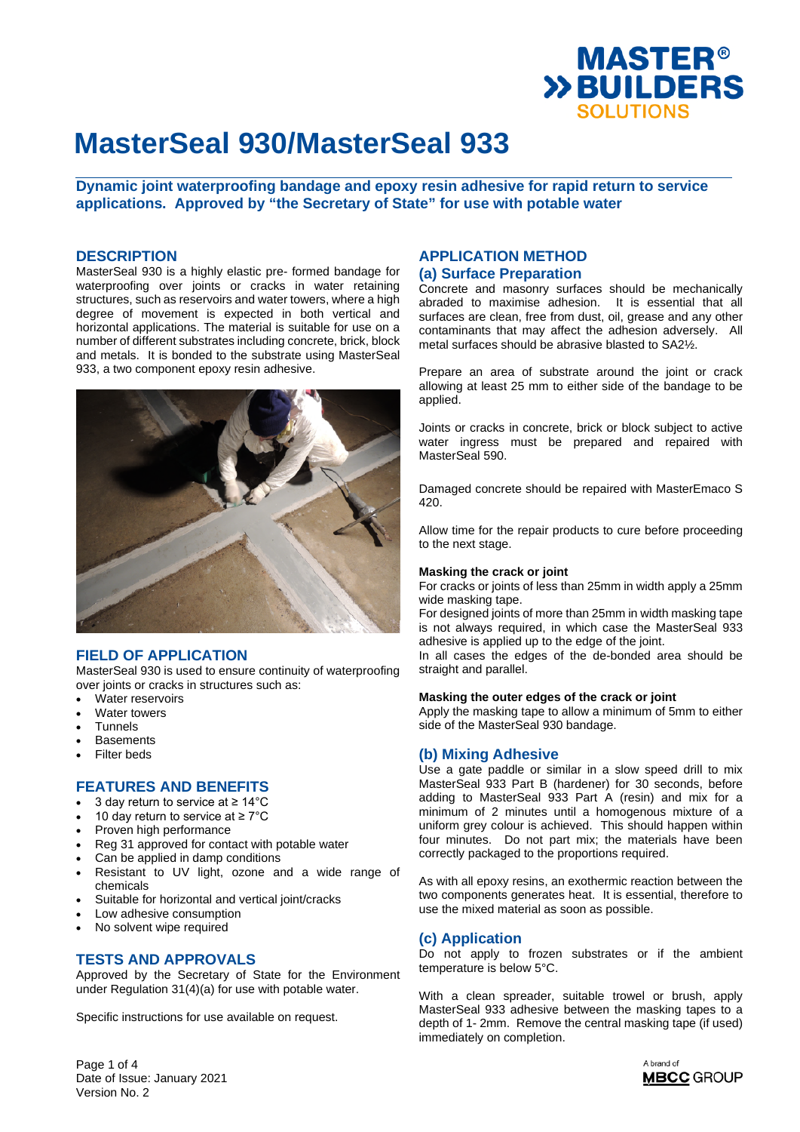

**Dynamic joint waterproofing bandage and epoxy resin adhesive for rapid return to service applications. Approved by "the Secretary of State" for use with potable water** 

### **DESCRIPTION**

MasterSeal 930 is a highly elastic pre- formed bandage for waterproofing over joints or cracks in water retaining structures, such as reservoirs and water towers, where a high degree of movement is expected in both vertical and horizontal applications. The material is suitable for use on a number of different substrates including concrete, brick, block and metals. It is bonded to the substrate using MasterSeal 933, a two component epoxy resin adhesive.



# **FIELD OF APPLICATION**

MasterSeal 930 is used to ensure continuity of waterproofing over joints or cracks in structures such as:

- Water reservoirs
- Water towers
- **Tunnels**
- **Basements**
- Filter beds

# **FEATURES AND BENEFITS**

- 3 day return to service at ≥ 14°C
- 10 day return to service at ≥ 7°C
- Proven high performance
- Reg 31 approved for contact with potable water
- Can be applied in damp conditions
- Resistant to UV light, ozone and a wide range of chemicals
- Suitable for horizontal and vertical joint/cracks
- Low adhesive consumption
- No solvent wipe required

### **TESTS AND APPROVALS**

Approved by the Secretary of State for the Environment under Regulation 31(4)(a) for use with potable water.

Specific instructions for use available on request.

## **APPLICATION METHOD (a) Surface Preparation**

Concrete and masonry surfaces should be mechanically abraded to maximise adhesion. It is essential that all surfaces are clean, free from dust, oil, grease and any other contaminants that may affect the adhesion adversely. All metal surfaces should be abrasive blasted to SA2½.

Prepare an area of substrate around the joint or crack allowing at least 25 mm to either side of the bandage to be applied.

Joints or cracks in concrete, brick or block subject to active water ingress must be prepared and repaired with MasterSeal 590.

Damaged concrete should be repaired with MasterEmaco S 420.

Allow time for the repair products to cure before proceeding to the next stage.

#### **Masking the crack or joint**

For cracks or joints of less than 25mm in width apply a 25mm wide masking tape.

For designed joints of more than 25mm in width masking tape is not always required, in which case the MasterSeal 933 adhesive is applied up to the edge of the joint.

In all cases the edges of the de-bonded area should be straight and parallel.

#### **Masking the outer edges of the crack or joint**

Apply the masking tape to allow a minimum of 5mm to either side of the MasterSeal 930 bandage.

# **(b) Mixing Adhesive**

Use a gate paddle or similar in a slow speed drill to mix MasterSeal 933 Part B (hardener) for 30 seconds, before adding to MasterSeal 933 Part A (resin) and mix for a minimum of 2 minutes until a homogenous mixture of a uniform grey colour is achieved. This should happen within four minutes. Do not part mix; the materials have been correctly packaged to the proportions required.

As with all epoxy resins, an exothermic reaction between the two components generates heat. It is essential, therefore to use the mixed material as soon as possible.

### **(c) Application**

Do not apply to frozen substrates or if the ambient temperature is below 5°C.

With a clean spreader, suitable trowel or brush, apply MasterSeal 933 adhesive between the masking tapes to a depth of 1- 2mm. Remove the central masking tape (if used) immediately on completion.

> A brand of **MBCC** GROUP

Page 1 of 4 Date of Issue: January 2021 Version No. 2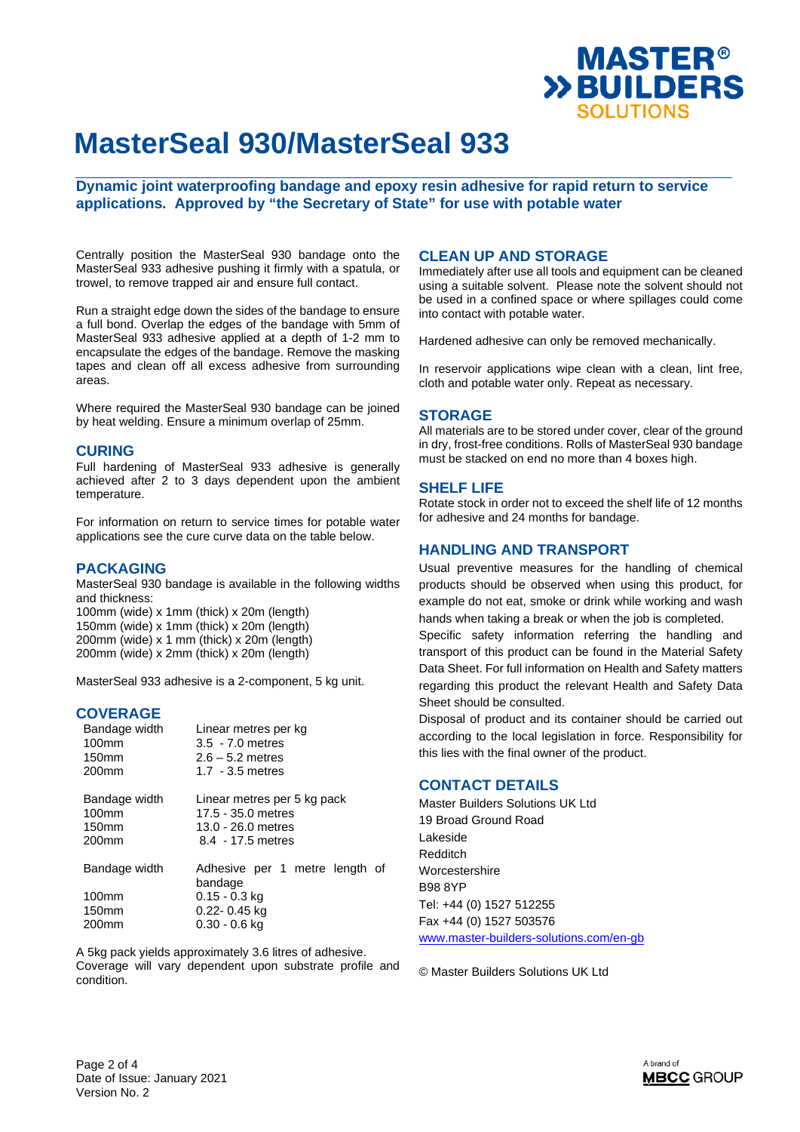

**Dynamic joint waterproofing bandage and epoxy resin adhesive for rapid return to service applications. Approved by "the Secretary of State" for use with potable water** 

Centrally position the MasterSeal 930 bandage onto the MasterSeal 933 adhesive pushing it firmly with a spatula, or trowel, to remove trapped air and ensure full contact.

Run a straight edge down the sides of the bandage to ensure a full bond. Overlap the edges of the bandage with 5mm of MasterSeal 933 adhesive applied at a depth of 1-2 mm to encapsulate the edges of the bandage. Remove the masking tapes and clean off all excess adhesive from surrounding areas.

Where required the MasterSeal 930 bandage can be joined by heat welding. Ensure a minimum overlap of 25mm.

## **CURING**

Full hardening of MasterSeal 933 adhesive is generally achieved after 2 to 3 days dependent upon the ambient temperature.

For information on return to service times for potable water applications see the cure curve data on the table below.

### **PACKAGING**

MasterSeal 930 bandage is available in the following widths and thickness:

100mm (wide) x 1mm (thick) x 20m (length) 150mm (wide) x 1mm (thick) x 20m (length) 200mm (wide) x 1 mm (thick) x 20m (length) 200mm (wide) x 2mm (thick) x 20m (length)

MasterSeal 933 adhesive is a 2-component, 5 kg unit.

## **COVERAGE**

| Bandage width                                                       | Linear metres per kg                                                                         |  |  |
|---------------------------------------------------------------------|----------------------------------------------------------------------------------------------|--|--|
| $100$ mm                                                            | 3.5 - 7.0 metres                                                                             |  |  |
| 150 <sub>mm</sub>                                                   | $2.6 - 5.2$ metres                                                                           |  |  |
| 200 <sub>mm</sub>                                                   | $1.7 - 3.5$ metres                                                                           |  |  |
| Bandage width<br>$100$ mm<br>150 <sub>mm</sub><br>200 <sub>mm</sub> | Linear metres per 5 kg pack<br>17.5 - 35.0 metres<br>13.0 - 26.0 metres<br>8.4 - 17.5 metres |  |  |
| Bandage width                                                       | Adhesive per 1 metre length of<br>bandage                                                    |  |  |
| 100 <sub>mm</sub>                                                   | 0.15 - 0.3 kg                                                                                |  |  |
| 150 <sub>mm</sub>                                                   | 0.22- 0.45 kg                                                                                |  |  |
| 200 <sub>mm</sub>                                                   | 0.30 - 0.6 kg                                                                                |  |  |

A 5kg pack yields approximately 3.6 litres of adhesive. Coverage will vary dependent upon substrate profile and condition.

## **CLEAN UP AND STORAGE**

Immediately after use all tools and equipment can be cleaned using a suitable solvent. Please note the solvent should not be used in a confined space or where spillages could come into contact with potable water.

Hardened adhesive can only be removed mechanically.

In reservoir applications wipe clean with a clean, lint free, cloth and potable water only. Repeat as necessary.

### **STORAGE**

All materials are to be stored under cover, clear of the ground in dry, frost-free conditions. Rolls of MasterSeal 930 bandage must be stacked on end no more than 4 boxes high.

#### **SHELF LIFE**

Rotate stock in order not to exceed the shelf life of 12 months for adhesive and 24 months for bandage.

## **HANDLING AND TRANSPORT**

Usual preventive measures for the handling of chemical products should be observed when using this product, for example do not eat, smoke or drink while working and wash hands when taking a break or when the job is completed.

Specific safety information referring the handling and transport of this product can be found in the Material Safety Data Sheet. For full information on Health and Safety matters regarding this product the relevant Health and Safety Data Sheet should be consulted.

Disposal of product and its container should be carried out according to the local legislation in force. Responsibility for this lies with the final owner of the product.

# **CONTACT DETAILS**

Master Builders Solutions UK Ltd 19 Broad Ground Road Lakeside Redditch Worcestershire B98 8YP Tel: +44 (0) 1527 512255 Fax +44 (0) 1527 503576 [www.master-builders-solutions.com/en-gb](http://www.master-builders-solutions.com/en-gb)

© Master Builders Solutions UK Ltd

Page 2 of 4 Date of Issue: January 2021 Version No. 2

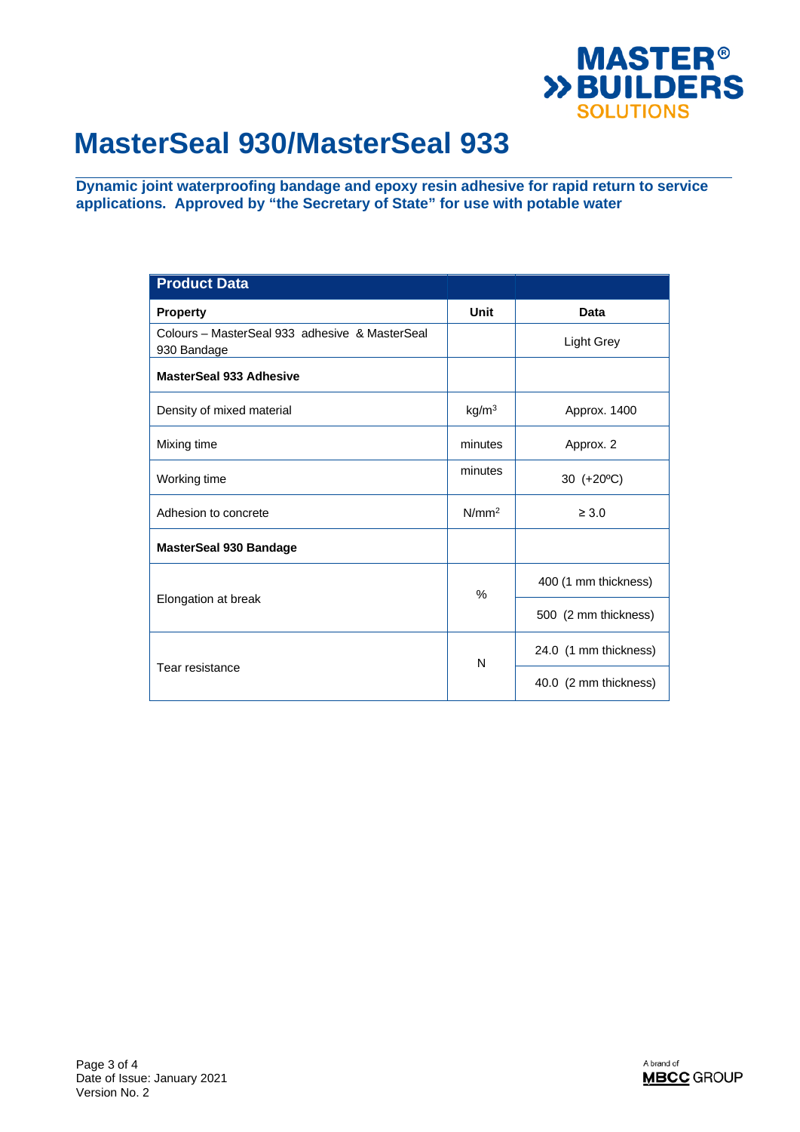

**Dynamic joint waterproofing bandage and epoxy resin adhesive for rapid return to service applications. Approved by "the Secretary of State" for use with potable water** 

| <b>Product Data</b>                                           |                   |                       |
|---------------------------------------------------------------|-------------------|-----------------------|
| <b>Property</b>                                               | Unit              | Data                  |
| Colours – MasterSeal 933 adhesive & MasterSeal<br>930 Bandage |                   | <b>Light Grey</b>     |
| <b>MasterSeal 933 Adhesive</b>                                |                   |                       |
| Density of mixed material                                     | kg/m <sup>3</sup> | Approx. 1400          |
| Mixing time                                                   | minutes           | Approx. 2             |
| Working time                                                  | minutes           | 30 (+20°C)            |
| Adhesion to concrete                                          | N/mm <sup>2</sup> | $\geq 3.0$            |
| <b>MasterSeal 930 Bandage</b>                                 |                   |                       |
|                                                               | $\%$              | 400 (1 mm thickness)  |
| Elongation at break                                           |                   | 500 (2 mm thickness)  |
|                                                               | N                 | 24.0 (1 mm thickness) |
| Tear resistance                                               |                   | 40.0 (2 mm thickness) |